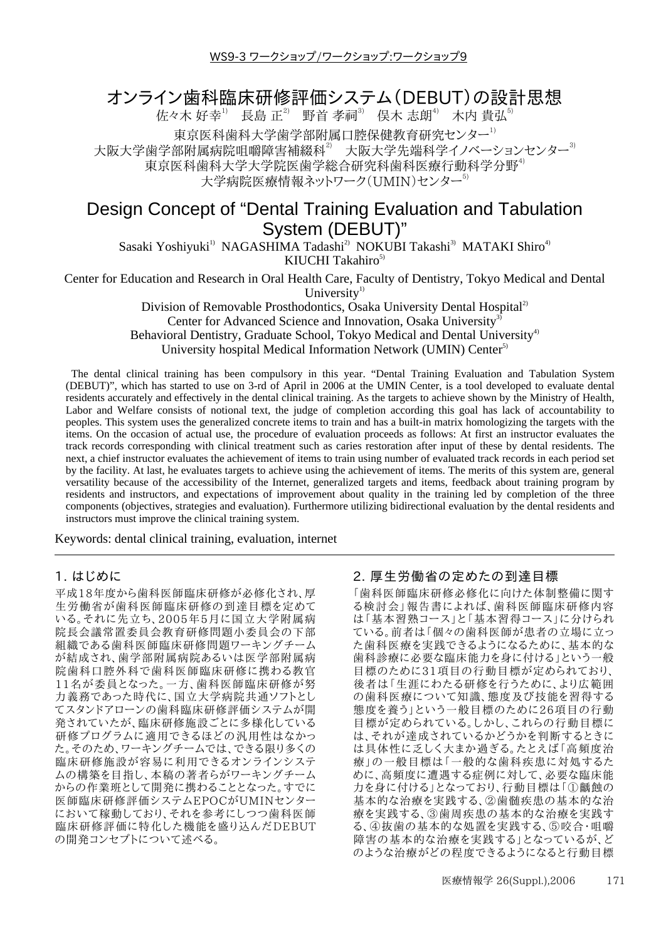# オンライン歯科臨床研修評価システム(DEBUT)の設計思想

佐々木好幸1 長島正2 野首孝祠3 俣木志朗4 木内貴弘5

東京医科歯科大学歯学部附属口腔保健教育研究センター<sup>1)</sup><br>部附属病院咀嚼障害補綴科<sup>3</sup> 大阪大学先端科学イノベーションセンター<sup>3)</sup> 大阪大学歯学部附属病院咀嚼障害補綴科 $^2$ 

東京医科歯科大学大学院医歯学総合研究科歯科医療行動科学分野<sup>4)</sup>

大学病院医療情報ネットワーク(UMIN)センター<sup>5)</sup>

# Design Concept of "Dental Training Evaluation and Tabulation System (DEBUT)"

Sasaki Yoshiyuki<sup>1)</sup> NAGASHIMA Tadashi<sup>2)</sup> NOKUBI Takashi<sup>3)</sup> MATAKI Shiro<sup>4)</sup> KIUCHI Takahiro $^{5)}$ 

Center for Education and Research in Oral Health Care, Faculty of Dentistry, Tokyo Medical and Dental

University<sup>1)</sup>

Division of Removable Prosthodontics, Osaka University Dental Hospital<sup>2)</sup> Center for Advanced Science and Innovation, Osaka University<sup>3)</sup> Behavioral Dentistry, Graduate School, Tokyo Medical and Dental University<sup>4)</sup> University hospital Medical Information Network (UMIN) Center<sup>5)</sup>

The dental clinical training has been compulsory in this year. "Dental Training Evaluation and Tabulation System (DEBUT)", which has started to use on 3-rd of April in 2006 at the UMIN Center, is a tool developed to evaluate dental residents accurately and effectively in the dental clinical training. As the targets to achieve shown by the Ministry of Health, Labor and Welfare consists of notional text, the judge of completion according this goal has lack of accountability to peoples. This system uses the generalized concrete items to train and has a built-in matrix homologizing the targets with the items. On the occasion of actual use, the procedure of evaluation proceeds as follows: At first an instructor evaluates the track records corresponding with clinical treatment such as caries restoration after input of these by dental residents. The next, a chief instructor evaluates the achievement of items to train using number of evaluated track records in each period set by the facility. At last, he evaluates targets to achieve using the achievement of items. The merits of this system are, general versatility because of the accessibility of the Internet, generalized targets and items, feedback about training program by residents and instructors, and expectations of improvement about quality in the training led by completion of the three components (objectives, strategies and evaluation). Furthermore utilizing bidirectional evaluation by the dental residents and instructors must improve the clinical training system.

Keywords: dental clinical training, evaluation, internet

#### 1. はじめに

平成18年度から歯科医師臨床研修が必修化され、厚 生労働省が歯科医師臨床研修の到達目標を定めて いる。それに先立ち、2005年5月に国立大学附属病 院長会議常置委員会教育研修問題小委員会の下部 組織である歯科医師臨床研修問題ワーキングチーム が結成され、歯学部附属病院あるいは医学部附属病 院歯科口腔外科で歯科医師臨床研修に携わる教官 11名が委員となった。一方、歯科医師臨床研修が努 力義務であった時代に、国立大学病院共通ソフトとし てスタンドアローンの歯科臨床研修評価システムが開 発されていたが、臨床研修施設ごとに多様化している 研修プログラムに適用できるほどの汎用性はなかっ た。そのため、ワーキングチームでは、できる限り多くの 臨床研修施設が容易に利用できるオンラインシステ ムの構築を目指し、本稿の著者らがワーキングチーム からの作業班として開発に携わることとなった。すでに 医師臨床研修評価システムEPOCがUMINセンター において稼動しており、それを参考にしつつ歯科医師 臨床研修評価に特化した機能を盛り込んだDEBUT の開発コンセプトについて述べる。

## 2. 厚生労働省の定めたの到達目標

「歯科医師臨床研修必修化に向けた体制整備に関す る検討会」報告書によれば、歯科医師臨床研修内容 は「基本習熟コース」と「基本習得コース」に分けられ ている。前者は「個々の歯科医師が患者の立場に立っ た歯科医療を実践できるようになるために、基本的な 歯科診療に必要な臨床能力を身に付ける」という一般 目標のために31項目の行動目標が定められており、 後者は「生涯にわたる研修を行うために、より広範囲 の歯科医療について知識、態度及び技能を習得する 態度を養う」という一般目標のために26項目の行動 目標が定められている。しかし、これらの行動目標に は、それが達成されているかどうかを判断するときに は具体性に乏しく大まか過ぎる。たとえば「高頻度治 療」の一般目標は「一般的な歯科疾患に対処するた めに、高頻度に遭遇する症例に対して、必要な臨床能 力を身に付ける」となっており、行動目標は「①齲蝕の 基本的な治療を実践する、2歯髄疾患の基本的な治 療を実践する、③歯周疾患の基本的な治療を実践す る、4抜歯の基本的な処置を実践する、5咬合·咀嚼 障害の基本的な治療を実践する」となっているが、ど のような治療がどの程度できるようになると行動目標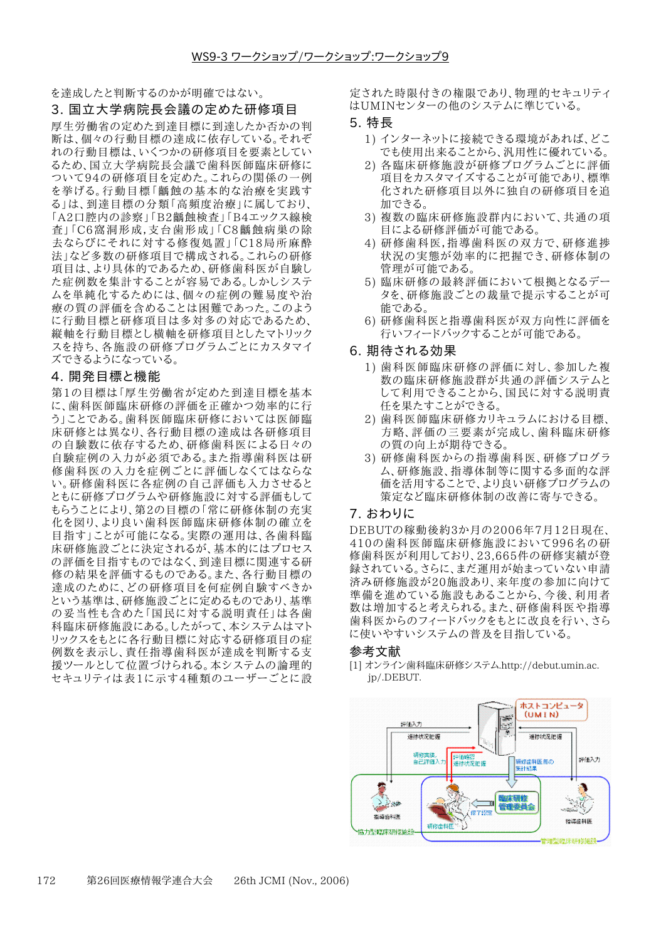を達成したと判断するのかが明確ではない。

# 3. 国立大学病院長会議の定めた研修項目

厚生労働省の定めた到達目標に到達したか否かの判 断は、個々の行動目標の達成に依存している。それぞ れの行動目標は、いくつかの研修項目を要素としてい るため、国立大学病院長会議で歯科医師臨床研修に ついて94の研修項目を定めた。これらの関係の一例 を挙げる。行動目標「齲蝕の基本的な治療を実践す る」は、到達目標の分類「高頻度治療」に属しており、 「A2口腔内の診察」「B2齲蝕検査」「B4エックス線検 査」「C6窩洞形成,支台歯形成」「C8齲蝕病巣の除 去ならびにそれに対する修復処置」「C18局所麻酔 法」など多数の研修項目で構成される。これらの研修 項目は、より具体的であるため、研修歯科医が自験し た症例数を集計することが容易である。しかしシステ ムを単純化するためには、個々の症例の難易度や治 療の質の評価を含めることは困難であった。このよう に行動目標と研修項目は多対多の対応であるため、 縦軸を行動目標とし横軸を研修項目としたマトリック スを持ち、各施設の研修プログラムごとにカスタマイ ズできるようになっている。

#### 4. 開発目標と機能

第1の目標は「厚生労働省が定めた到達目標を基本 に、歯科医師臨床研修の評価を正確かつ効率的に行 う」ことである。歯科医師臨床研修においては医師臨 床研修とは異なり、各行動目標の達成は各研修項目 の自験数に依存するため、研修歯科医による日々の 自験症例の入力が必須である。また指導歯科医は研 修歯科医の入力を症例ごとに評価しなくてはならな い。研修歯科医に各症例の自己評価も入力させると ともに研修プログラムや研修施設に対する評価もして もらうことにより、第2の目標の「常に研修体制の充実 化を図り、より良い歯科医師臨床研修体制の確立を 目指す」ことが可能になる。実際の運用は、各歯科臨 床研修施設ごとに決定されるが、基本的にはプロセス の評価を目指すものではなく、到達目標に関連する研 修の結果を評価するものである。また、各行動目標の 達成のために、どの研修項目を何症例自験すべきか という基準は、研修施設ごとに定めるものであり、基準 の妥当性も含めた「国民に対する説明責任」は各歯 科臨床研修施設にある。したがって、本システムはマト リックスをもとに各行動目標に対応する研修項目の症 例数を表示し、責任指導歯科医が達成を判断する支 援ツールとして位置づけられる。本システムの論理的 セキュリティは表1に示す4種類のユーザーごとに設 定された時限付きの権限であり、物理的セキュリティ はUMINセンターの他のシステムに準じている。

- 5. 特長
	- 1) インターネットに接続できる環境があれば、どこ でも使用出来ることから、汎用性に優れている。
	- 2) 各臨床研修施設が研修プログラムごとに評価 項目をカスタマイズすることが可能であり、標準 化された研修項目以外に独自の研修項目を追 加できる。
	- 3) 複数の臨床研修施設群内において、共通の項 目による研修評価が可能である。
	- 4) 研修歯科医,指導歯科医の双方で、研修進捗 状況の実態が効率的に把握でき、研修体制の 管理が可能である。
	- 5) 臨床研修の最終評価において根拠となるデー タを、研修施設ごとの裁量で提示することが可 能である。
	- 6) 研修歯科医と指導歯科医が双方向性に評価を 行いフィードバックすることが可能である。
- 6. 期待される効果
	- 1) 歯科医師臨床研修の評価に対し、参加した複 数の臨床研修施設群が共通の評価システムと して利用できることから、国民に対する説明責 任を果たすことができる。
	- 2) 歯科医師臨床研修カリキュラムにおける目標、 方略、評価の三要素が完成し、歯科臨床研修 の質の向上が期待できる。
	- 3) 研修歯科医からの指導歯科医、研修プログラ ム、研修施設、指導体制等に関する多面的な評 価を活用することで、より良い研修プログラムの 策定など臨床研修体制の改善に寄与できる。

#### 7. おわりに

DEBUTの稼動後約3か月の2006年7月12日現在、 410の歯科医師臨床研修施設において996名の研 修歯科医が利用しており、23.665件の研修実績が登 録されている。さらに、まだ運用が始まっていない申請 済み研修施設が20施設あり、来年度の参加に向けて 準備を進めている施設もあることから、今後、利用者 数は増加すると考えられる。また、研修歯科医や指導 歯科医からのフィードバックをもとに改良を行い、さら に使いやすいシステムの普及を目指している。

#### 参考文献

[1] オンライン歯科臨床研修システム.http://debut.umin.ac. ip/.DEBUT.